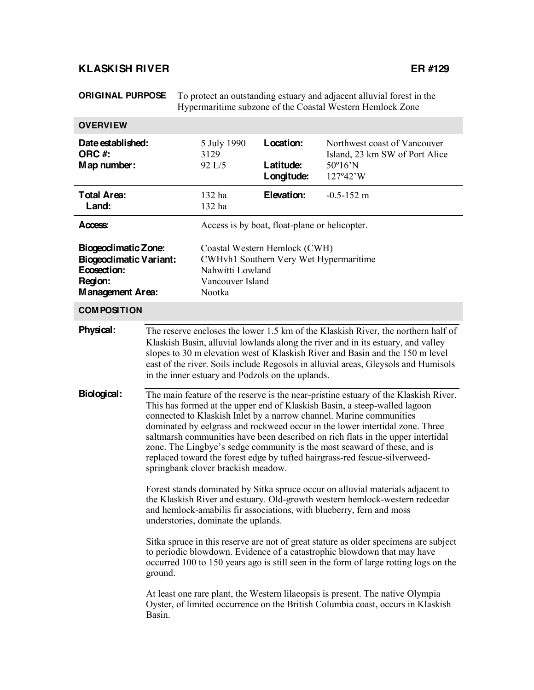# **KLASKISH RIVER ER #129**

**ORIGINAL PURPOSE** To protect an outstanding estuary and adjacent alluvial forest in the Hypermaritime subzone of the Coastal Western Hemlock Zone

| <b>OVERVIEW</b>                                                                                                  |                                                                                                                                                                                                                                                                                                                                                                                                                                                                                                                                                                                                                                                                                               |                                                                                                                           |                                      |                                                                                                                                                                                                                                                         |  |
|------------------------------------------------------------------------------------------------------------------|-----------------------------------------------------------------------------------------------------------------------------------------------------------------------------------------------------------------------------------------------------------------------------------------------------------------------------------------------------------------------------------------------------------------------------------------------------------------------------------------------------------------------------------------------------------------------------------------------------------------------------------------------------------------------------------------------|---------------------------------------------------------------------------------------------------------------------------|--------------------------------------|---------------------------------------------------------------------------------------------------------------------------------------------------------------------------------------------------------------------------------------------------------|--|
| Date established:<br>ORC#:<br>Map number:                                                                        |                                                                                                                                                                                                                                                                                                                                                                                                                                                                                                                                                                                                                                                                                               | 5 July 1990<br>3129<br>92 L/5                                                                                             | Location:<br>Latitude:<br>Longitude: | Northwest coast of Vancouver<br>Island, 23 km SW of Port Alice<br>$50^{\circ}16^{\prime}N$<br>127°42'W                                                                                                                                                  |  |
| <b>Total Area:</b><br>Land:                                                                                      |                                                                                                                                                                                                                                                                                                                                                                                                                                                                                                                                                                                                                                                                                               | 132 ha<br>132 ha                                                                                                          | Elevation:                           | $-0.5 - 152$ m                                                                                                                                                                                                                                          |  |
| Access:                                                                                                          |                                                                                                                                                                                                                                                                                                                                                                                                                                                                                                                                                                                                                                                                                               | Access is by boat, float-plane or helicopter.                                                                             |                                      |                                                                                                                                                                                                                                                         |  |
| <b>Biogeodimatic Zone:</b><br><b>Biogeodimatic Variant:</b><br>Ecosection:<br>Region:<br><b>Management Area:</b> |                                                                                                                                                                                                                                                                                                                                                                                                                                                                                                                                                                                                                                                                                               | Coastal Western Hemlock (CWH)<br>CWHvh1 Southern Very Wet Hypermaritime<br>Nahwitti Lowland<br>Vancouver Island<br>Nootka |                                      |                                                                                                                                                                                                                                                         |  |
| <b>COMPOSITION</b>                                                                                               |                                                                                                                                                                                                                                                                                                                                                                                                                                                                                                                                                                                                                                                                                               |                                                                                                                           |                                      |                                                                                                                                                                                                                                                         |  |
| Physical:                                                                                                        | The reserve encloses the lower 1.5 km of the Klaskish River, the northern half of<br>Klaskish Basin, alluvial lowlands along the river and in its estuary, and valley<br>slopes to 30 m elevation west of Klaskish River and Basin and the 150 m level<br>east of the river. Soils include Regosols in alluvial areas, Gleysols and Humisols<br>in the inner estuary and Podzols on the uplands.                                                                                                                                                                                                                                                                                              |                                                                                                                           |                                      |                                                                                                                                                                                                                                                         |  |
| Biological:                                                                                                      | The main feature of the reserve is the near-pristine estuary of the Klaskish River.<br>This has formed at the upper end of Klaskish Basin, a steep-walled lagoon<br>connected to Klaskish Inlet by a narrow channel. Marine communities<br>dominated by eelgrass and rockweed occur in the lower intertidal zone. Three<br>saltmarsh communities have been described on rich flats in the upper intertidal<br>zone. The Lingbye's sedge community is the most seaward of these, and is<br>replaced toward the forest edge by tufted hairgrass-red fescue-silverweed-<br>springbank clover brackish meadow.<br>Forest stands dominated by Sitka spruce occur on alluvial materials adjacent to |                                                                                                                           |                                      |                                                                                                                                                                                                                                                         |  |
|                                                                                                                  | the Klaskish River and estuary. Old-growth western hemlock-western redcedar<br>and hemlock-amabilis fir associations, with blueberry, fern and moss<br>understories, dominate the uplands.                                                                                                                                                                                                                                                                                                                                                                                                                                                                                                    |                                                                                                                           |                                      |                                                                                                                                                                                                                                                         |  |
|                                                                                                                  | ground.                                                                                                                                                                                                                                                                                                                                                                                                                                                                                                                                                                                                                                                                                       |                                                                                                                           |                                      | Sitka spruce in this reserve are not of great stature as older specimens are subject<br>to periodic blowdown. Evidence of a catastrophic blowdown that may have<br>occurred 100 to 150 years ago is still seen in the form of large rotting logs on the |  |
|                                                                                                                  | Basin.                                                                                                                                                                                                                                                                                                                                                                                                                                                                                                                                                                                                                                                                                        |                                                                                                                           |                                      | At least one rare plant, the Western lilaeopsis is present. The native Olympia<br>Oyster, of limited occurrence on the British Columbia coast, occurs in Klaskish                                                                                       |  |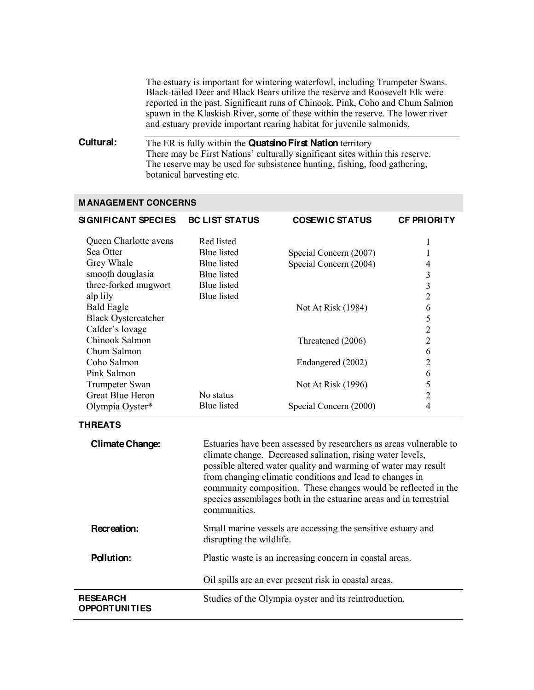The estuary is important for wintering waterfowl, including Trumpeter Swans. Black-tailed Deer and Black Bears utilize the reserve and Roosevelt Elk were reported in the past. Significant runs of Chinook, Pink, Coho and Chum Salmon spawn in the Klaskish River, some of these within the reserve. The lower river and estuary provide important rearing habitat for juvenile salmonids.

## **Cultural:** The ER is fully within the **Quatsino First Nation** territory There may be First Nations' culturally significant sites within this reserve. The reserve may be used for subsistence hunting, fishing, food gathering, botanical harvesting etc.

#### **MANAGEMENT CONCERNS**

| <b>SIGNIFICANT SPECIES</b> | <b>BC LIST STATUS</b> | <b>COSEWIC STATUS</b>  | <b>CF PRIORITY</b> |
|----------------------------|-----------------------|------------------------|--------------------|
| Queen Charlotte avens      | Red listed            |                        |                    |
| Sea Otter                  | <b>Blue</b> listed    | Special Concern (2007) |                    |
| Grey Whale                 | <b>Blue</b> listed    | Special Concern (2004) | 4                  |
| smooth douglasia           | Blue listed           |                        | 3                  |
| three-forked mugwort       | <b>Blue</b> listed    |                        | 3                  |
| alp lily                   | <b>Blue</b> listed    |                        | 2                  |
| <b>Bald Eagle</b>          |                       | Not At Risk (1984)     | 6                  |
| <b>Black Oystercatcher</b> |                       |                        | 5                  |
| Calder's lovage            |                       |                        | $\overline{2}$     |
| Chinook Salmon             |                       | Threatened (2006)      | $\overline{2}$     |
| Chum Salmon                |                       |                        | 6                  |
| Coho Salmon                |                       | Endangered (2002)      | 2                  |
| Pink Salmon                |                       |                        | 6                  |
| Trumpeter Swan             |                       | Not At Risk (1996)     | 5                  |
| Great Blue Heron           | No status             |                        | 2                  |
| Olympia Oyster*            | <b>Blue</b> listed    | Special Concern (2000) | 4                  |

#### **THREATS**

| <b>Climate Change:</b> | Estuaries have been assessed by researchers as areas vulnerable to<br>climate change. Decreased salination, rising water levels,<br>possible altered water quality and warming of water may result<br>from changing climatic conditions and lead to changes in<br>community composition. These changes would be reflected in the<br>species assemblages both in the estuarine areas and in terrestrial<br>communities. |
|------------------------|------------------------------------------------------------------------------------------------------------------------------------------------------------------------------------------------------------------------------------------------------------------------------------------------------------------------------------------------------------------------------------------------------------------------|
| Recreation:            | Small marine vessels are accessing the sensitive estuary and<br>disrupting the wildlife.                                                                                                                                                                                                                                                                                                                               |
| <b>Pollution:</b>      | Plastic waste is an increasing concern in coastal areas.<br>Oil spills are an ever present risk in coastal areas.                                                                                                                                                                                                                                                                                                      |
| <b>RESEARCH</b>        |                                                                                                                                                                                                                                                                                                                                                                                                                        |
| <b>OPPORTUNITIES</b>   | Studies of the Olympia oyster and its reintroduction.                                                                                                                                                                                                                                                                                                                                                                  |